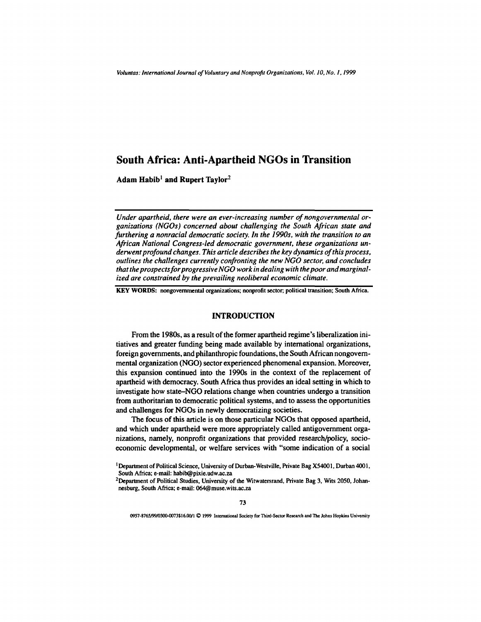# South Africa: Anti-Apartheid NGOs in Transition

**Adam Habib<sup>1</sup> and Rupert Taylor<sup>2</sup>**

*Under apartheid, there were an ever-increasing number of nongovernmental organizations (NGOs) concerned about challenging the South African state and furthering a nonracial democratic society. In the 1990s, with the transition to an African National Congress-led democratic government, these organizations underwent profound changes. This article describes the key dynamics of this process, outlines the challenges currently confronting the new NGO sector, and concludes that the prospects for progressive NGO work in dealing with the poor and marginalized are constrained by the prevailing neoliberal economic climate.*

**KEY WORDS:** nongovernmental organizations; nonprofit sector; political transition; South Africa.

# **INTRODUCTION**

From the 1980s, as a result of the former apartheid regime's liberalization initiatives and greater funding being made available by international organizations, foreign governments, and philanthropic foundations, the South African nongovernmental organization (NGO) sector experienced phenomenal expansion. Moreover, this expansion continued into the 1990s in the context of the replacement of apartheid with democracy. South Africa thus provides an ideal setting in which to investigate how state-NGO relations change when countries undergo a transition from authoritarian to democratic political systems, and to assess the opportunities and challenges for NGOs in newly democratizing societies.

The focus of this article is on those particular NGOs that opposed apartheid, and which under apartheid were more appropriately called antigovernment organizations, namely, nonprofit organizations that provided research/policy, socioeconomic developmental, or welfare services with "some indication of a social

0957-8765/99/0300-0073\$ 16.00/1 C 1999 International Society for Thud-Sector Research and The Johns Hopkins University

<sup>&</sup>lt;sup>1</sup>Department of Political Science, University of Durban-Westville, Private Bag X54001, Durban 4001, South Africa; e-mail: habib@pixie.udw.ac.za

<sup>&</sup>lt;sup>2</sup>Department of Political Studies, University of the Witwatersrand, Private Bag 3, Wits 2050, Johannesburg, South Africa; e-mail: 064@muse.wits.ac.za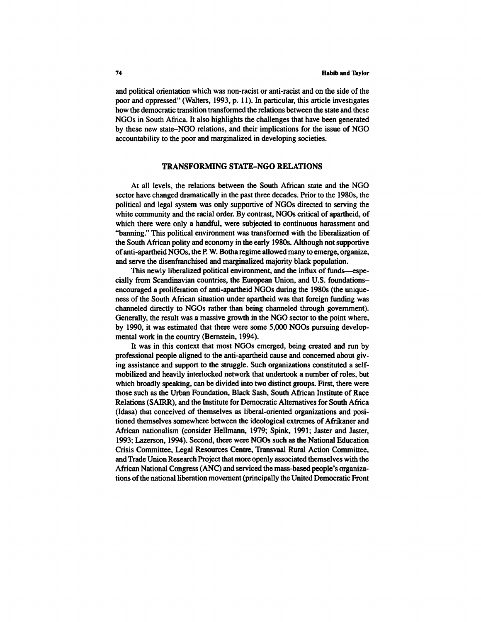and political orientation which was non-racist or anti-racist and on the side of the poor and oppressed" (Walters, 1993, p. 11). In particular, this article investigates how the democratic transition transformed the relations between the state and these NGOs in South Africa. It also highlights the challenges that have been generated by these new state-NGO relations, and their implications for the issue of NGO accountability to the poor and marginalized in developing societies.

## **TRANSFORMING STATE-NGO RELATIONS**

At all levels, the relations between the South African state and the NGO sector have changed dramatically in the past three decades. Prior to the 1980s, the political and legal system was only supportive of NGOs directed to serving the white community and the racial order. By contrast, NGOs critical of apartheid, of which there were only a handful, were subjected to continuous harassment and "banning." This political environment was transformed with the liberalization of the South African polity and economy in the early 1980s. Although not supportive of anti-apartheid NGOs, the P. W. Botha regime allowed many to emerge, organize, and serve the disenfranchised and marginalized majority black population.

This newly liberalized political environment, and the influx of funds—especially from Scandinavian countries, the European Union, and U.S. foundationsencouraged a proliferation of anti-apartheid NGOs during the 1980s (the uniqueness of the South African situation under apartheid was that foreign funding was channeled directly to NGOs rather than being channeled through government). Generally, the result was a massive growth in the NGO sector to the point where, by 1990, it was estimated that there were some 5,000 NGOs pursuing developmental work in the country (Bernstein, 1994).

It was in this context that most NGOs emerged, being created and run by professional people aligned to the anti-apartheid cause and concerned about giving assistance and support to the struggle. Such organizations constituted a selfmobilized and heavily interlocked network that undertook a number of roles, but which broadly speaking, can be divided into two distinct groups. First, there were those such as the Urban Foundation, Black Sash, South African Institute of Race Relations (SAIRR), and the Institute for Democratic Alternatives for South Africa (Idasa) that conceived of themselves as liberal-oriented organizations and positioned themselves somewhere between the ideological extremes of Afrikaner and African nationalism (consider Hellmann, 1979; Spink, 1991; Jaster and Jaster, 1993; Lazerson, 1994). Second, there were NGOs such as the National Education Crisis Committee, Legal Resources Centre, Transvaal Rural Action Committee, and Trade Union Research Project that more openly associated themselves with the African National Congress (ANC) and serviced the mass-based people's organizations of the national liberation movement (principally the United Democratic Front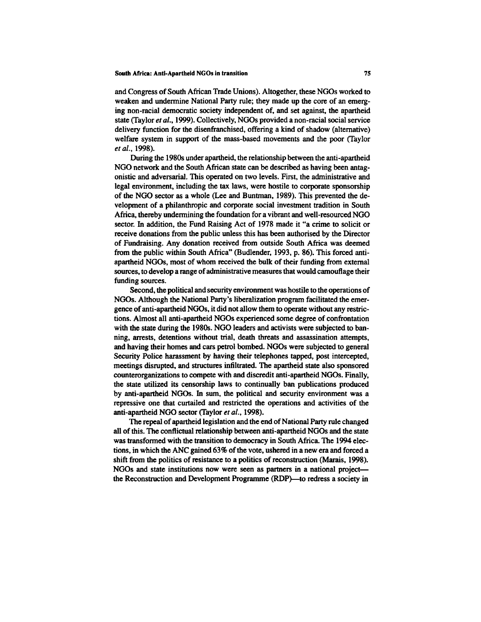and Congress of South African Trade Unions). Altogether, these NGOs worked to weaken and undermine National Party rule; they made up the core of an emerging non-racial democratic society independent of, and set against, the apartheid state (Taylor *et al.,* 1999). Collectively, NGOs provided a non-racial social service delivery function for the disenfranchised, offering a kind of shadow (alternative) welfare system in support of the mass-based movements and the poor (Taylor *et al.,* 1998).

During the 1980s under apartheid, the relationship between the anti-apartheid NGO network and the South African state can be described as having been antagonistic and adversarial. This operated on two levels. First, the administrative and legal environment, including the tax laws, were hostile to corporate sponsorship of the NGO sector as a whole (Lee and Buntman, 1989). This prevented the development of a philanthropic and corporate social investment tradition in South Africa, thereby undermining the foundation for a vibrant and well-resourced NGO sector. In addition, the Fund Raising Act of 1978 made it "a crime to solicit or receive donations from the public unless this has been authorised by the Director of Fundraising. Any donation received from outside South Africa was deemed from the public within South Africa" (Budlender, 1993, p. 86). This forced antiapartheid NGOs, most of whom received the bulk of their funding from external sources, to develop a range of administrative measures that would camouflage their funding sources.

Second, the political and security environment was hostile to the operations of NGOs. Although the National Party's liberalization program facilitated the emergence of anti-apartheid NGOs, it did not allow them to operate without any restrictions. Almost all anti-apartheid NGOs experienced some degree of confrontation with the state during the 1980s. NGO leaders and activists were subjected to banning, arrests, detentions without trial, death threats and assassination attempts, and having their homes and cars petrol bombed. NGOs were subjected to general Security Police harassment by having their telephones tapped, post intercepted, meetings disrupted, and structures infiltrated. The apartheid state also sponsored counterorganizations to compete with and discredit anti-apartheid NGOs. Finally, the state utilized its censorship laws to continually ban publications produced by anti-apartheid NGOs. In sum, the political and security environment was a repressive one that curtailed and restricted the operations and activities of the anti-apartheid NGO sector (Taylor *et al.,* 1998).

The repeal of apartheid legislation and the end of National Party rule changed all of this. The conflictual relationship between anti-apartheid NGOs and the state was transformed with the transition to democracy in South Africa. The 1994 elections, in which the ANC gained 63% of the vote, ushered in a new era and forced a shift from the politics of resistance to a politics of reconstruction (Marais, 1998). NGOs and state institutions now were seen as partners in a national project the Reconstruction and Development Programme (RDP)—to redress a society in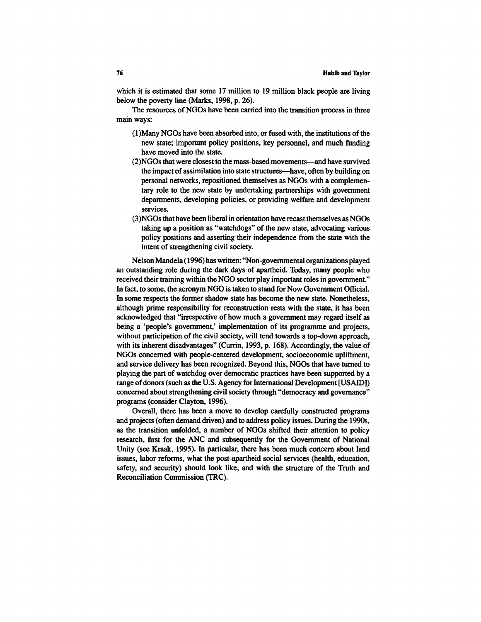which it is estimated that some 17 million to 19 million black people are living below the poverty line (Marks, 1998, p. 26).

The resources of NGOs have been carried into the transition process in three main ways:

- (1)Many NGOs have been absorbed into, or fused with, the institutions of the new state; important policy positions, key personnel, and much funding have moved into the state.
- (2)NGOs that were closest to the mass-based movements—and have survived the impact of assimilation into state structures—have, often by building on personal networks, repositioned themselves as NGOs with a complementary role to the new state by undertaking partnerships with government departments, developing policies, or providing welfare and development services.
- (3)NGOs that have been liberal in orientation have recast themselves as NGOs taking up a position as "watchdogs" of the new state, advocating various policy positions and asserting their independence from the state with the intent of strengthening civil society.

Nelson Mandela (1996) has written: "Non-governmental organizations played an outstanding role during the dark days of apartheid. Today, many people who received their training within the NGO sector play important roles in government." In fact, to some, the acronym NGO is taken to stand for Now Government Official. In some respects the former shadow state has become the new state. Nonetheless, although prime responsibility for reconstruction rests with the state, it has been acknowledged that "irrespective of how much a government may regard itself as being a 'people's government,' implementation of its programme and projects, without participation of the civil society, will tend towards a top-down approach, with its inherent disadvantages" (Currin, 1993, p. 168). Accordingly, the value of NGOs concerned with people-centered development, socioeconomic upliftment, and service delivery has been recognized. Beyond this, NGOs that have turned to playing the part of watchdog over democratic practices have been supported by a range of donors (such as the U.S. Agency for International Development [USAID]) concerned about strengthening civil society through "democracy and governance" programs (consider Clayton, 1996).

Overall, there has been a move to develop carefully constructed programs and projects (often demand driven) and to address policy issues. During the 1990s, as the transition unfolded, a number of NGOs shifted their attention to policy research, first for the ANC and subsequently for the Government of National Unity (see Kraak, 1995). In particular, there has been much concern about land issues, labor reforms, what the post-apartheid social services (health, education, safety, and security) should look like, and with the structure of the Truth and Reconciliation Commission (TRC).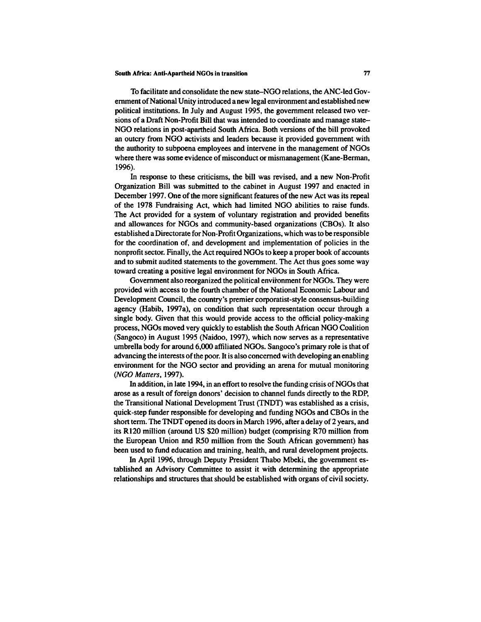#### **South Africa: Anti-Apartheid NGOs in transition 77**

To facilitate and consolidate the new state-NGO relations, the ANC-led Government of National Unity introduced a new legal environment and established new political institutions. In July and August 1995, the government released two versions of a Draft Non-Profit Bill that was intended to coordinate and manage state-NGO relations in post-apartheid South Africa. Both versions of the bill provoked an outcry from NGO activists and leaders because it provided government with the authority to subpoena employees and intervene in the management of NGOs where there was some evidence of misconduct or mismanagement (Kane-Berman, 1996).

In response to these criticisms, the bill was revised, and a new Non-Profit Organization Bill was submitted to the cabinet in August 1997 and enacted in December 1997. One of the more significant features of the new Act was its repeal of the 1978 Fundraising Act, which had limited NGO abilities to raise funds. The Act provided for a system of voluntary registration and provided benefits and allowances for NGOs and community-based organizations (CBOs). It also established a Directorate for Non-Profit Organizations, which was to be responsible for the coordination of, and development and implementation of policies in the nonprofit sector. Finally, the Act required NGOs to keep a proper book of accounts and to submit audited statements to the government. The Act thus goes some way toward creating a positive legal environment for NGOs in South Africa.

Government also reorganized the political environment for NGOs. They were provided with access to the fourth chamber of the National Economic Labour and Development Council, the country's premier corporatist-style consensus-building agency (Habib, 1997a), on condition that such representation occur through a single body. Given that this would provide access to the official policy-making process, NGOs moved very quickly to establish the South African NGO Coalition (Sangoco) in August 1995 (Naidoo, 1997), which now serves as a representative umbrella body for around 6,000 affiliated NGOs. Sangoco's primary role is that of advancing the interests of the poor. It is also concerned with developing an enabling environment for the NGO sector and providing an arena for mutual monitoring *(NGO Matters,* 1997).

In addition, in late 1994, in an effort to resolve the funding crisis of NGOs that arose as a result of foreign donors' decision to channel funds directly to the RDP, the Transitional National Development Trust (TNDT) was established as a crisis, quick-step funder responsible for developing and funding NGOs and CBOs in the short term. The TNDT opened its doors in March 1996, after a delay of 2 years, and its R120 million (around US \$20 million) budget (comprising R70 million from the European Union and R50 million from the South African government) has been used to fund education and training, health, and rural development projects.

In April 1996, through Deputy President Thabo Mbeki, the government established an Advisory Committee to assist it with determining the appropriate relationships and structures that should be established with organs of civil society.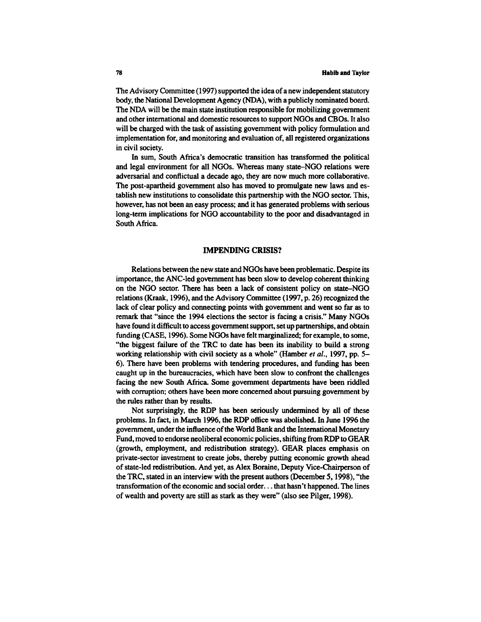The Advisory Committee (1997) supported the idea of a new independent statutory body, the National Development Agency (NDA), with a publicly nominated board. The NDA will be the main state institution responsible for mobilizing government and other international and domestic resources to support NGOs and CBOs. It also will be charged with the task of assisting government with policy formulation and implementation for, and monitoring and evaluation of, all registered organizations in civil society.

In sum, South Africa's democratic transition has transformed the political and legal environment for all NGOs. Whereas many state-NGO relations were adversarial and conflictual a decade ago, they are now much more collaborative. The post-apartheid government also has moved to promulgate new laws and establish new institutions to consolidate this partnership with the NGO sector. This, however, has not been an easy process; and it has generated problems with serious long-term implications for NGO accountability to the poor and disadvantaged in South Africa.

## **IMPENDING CRISIS?**

Relations between the new state and NGOs have been problematic. Despite its importance, the ANC-led government has been slow to develop coherent thinking on the NGO sector. There has been a lack of consistent policy on state-NGO relations (Kraak, 1996), and the Advisory Committee (1997, p. 26) recognized the lack of clear policy and connecting points with government and went so far as to remark that "since the 1994 elections the sector is facing a crisis." Many NGOs have found it difficult to access government support, set up partnerships, and obtain funding (CASE, 1996). Some NGOs have felt marginalized; for example, to some, "the biggest failure of the TRC to date has been its inability to build a strong working relationship with civil society as a whole" (Hamber *et al.,* 1997, pp. 5- 6). There have been problems with tendering procedures, and funding has been caught up in the bureaucracies, which have been slow to confront the challenges facing the new South Africa. Some government departments have been riddled with corruption; others have been more concerned about pursuing government by the rules rather than by results.

Not surprisingly, the RDP has been seriously undermined by all of these problems. In fact, in March 1996, the RDP office was abolished. In June 1996 the government, under the influence of the World Bank and the International Monetary Fund, moved to endorse neoliberal economic policies, shifting from RDP to GEAR (growth, employment, and redistribution strategy). GEAR places emphasis on private-sector investment to create jobs, thereby putting economic growth ahead of state-led redistribution. And yet, as Alex Boraine, Deputy Vice-Chairperson of the TRC, stated in an interview with the present authors (December 5,1998), "the transformation of the economic and social order... that hasn't happened. The lines of wealth and poverty are still as stark as they were" (also see Pilger, 1998).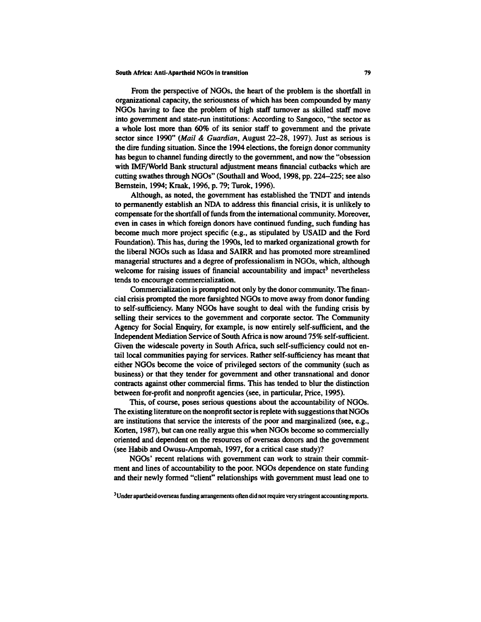#### **South Africa: Anti-Apartheid NGOs in transition** 79

From the perspective of NGOs, the heart of the problem is the shortfall in organizational capacity, the seriousness of which has been compounded by many NGOs having to face the problem of high staff turnover as skilled staff move into government and state-run institutions: According to Sangoco, "the sector as a whole lost more than 60% of its senior staff to government and the private sector since 1990" *(Mail & Guardian,* August 22-28, 1997). Just as serious is the dire funding situation. Since the 1994 elections, the foreign donor community has begun to channel funding directly to the government, and now the "obsession with IMF/World Bank structural adjustment means financial cutbacks which are cutting swathes through NGOs" (Southall and Wood, 1998, pp. 224–225; see also Bernstein, 1994; Kraak, 1996, p. 79; Turok, 1996).

Although, as noted, the government has established the TNDT and intends to permanently establish an NDA to address this financial crisis, it is unlikely to compensate for the shortfall of funds from the international community. Moreover, even in cases in which foreign donors have continued funding, such funding has become much more project specific (e.g., as stipulated by USAID and the Ford Foundation). This has, during the 1990s, led to marked organizational growth for the liberal NGOs such as Idasa and SAIRR and has promoted more streamlined managerial structures and a degree of professionalism in NGOs, which, although welcome for raising issues of financial accountability and impact<sup>3</sup> nevertheless tends to encourage commercialization.

Commercialization is prompted not only by the donor community. The financial crisis prompted the more farsighted NGOs to move away from donor funding to self-sufficiency. Many NGOs have sought to deal with the funding crisis by selling their services to the government and corporate sector. The Community Agency for Social Enquiry, for example, is now entirely self-sufficient, and the Independent Mediation Service of South Africa is now around 75% self-sufficient. Given the widescale poverty in South Africa, such self-sufficiency could not entail local communities paying for services. Rather self-sufficiency has meant that either NGOs become the voice of privileged sectors of the community (such as business) or that they tender for government and other transnational and donor contracts against other commercial firms. This has tended to blur the distinction between for-profit and nonprofit agencies (see, in particular, Price, 1995).

This, of course, poses serious questions about the accountability of NGOs. The existing literature on the nonprofit sector is replete with suggestions that NGOs are institutions that service the interests of the poor and marginalized (see, e.g., Korten, 1987), but can one really argue this when NGOs become so commercially oriented and dependent on the resources of overseas donors and the government (see Habib and Owusu-Ampomah, 1997, for a critical case study)?

NGOs' recent relations with government can work to strain their commitment and lines of accountability to the poor. NGOs dependence on state funding and their newly formed "client" relationships with government must lead one to

<sup>3</sup>Under apartheid overseas funding arrangements often did not require very stringent accounting reports.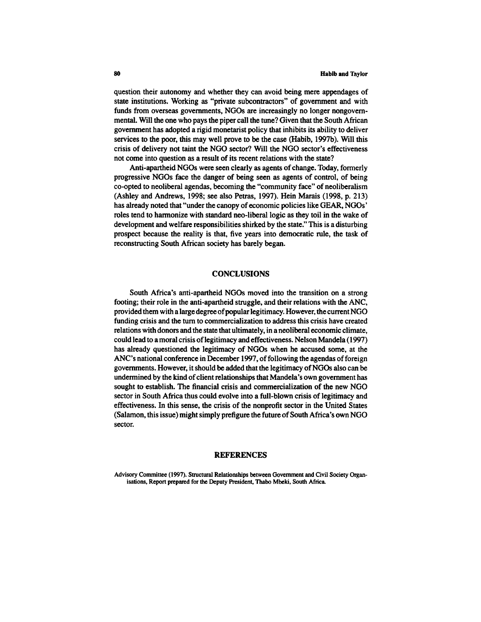question their autonomy and whether they can avoid being mere appendages of state institutions. Working as "private subcontractors" of government and with funds from overseas governments, NGOs are increasingly no longer nongovernmental. Will the one who pays the piper call the tune? Given that the South African government has adopted a rigid monetarist policy that inhibits its ability to deliver services to the poor, this may well prove to be the case (Habib, 1997b). Will this crisis of delivery not taint the NGO sector? Will the NGO sector's effectiveness not come into question as a result of its recent relations with the state?

Anti-apartheid NGOs were seen clearly as agents of change. Today, formerly progressive NGOs face the danger of being seen as agents of control, of being co-opted to neoliberal agendas, becoming the "community face" of neoliberalism (Ashley and Andrews, 1998; see also Petras, 1997). Hein Marais (1998, p. 213) has already noted that "under the canopy of economic policies like GEAR, NGOs' roles tend to harmonize with standard neo-liberal logic as they toil in the wake of development and welfare responsibilities shirked by the state." This is a disturbing prospect because the reality is that, five years into democratic rule, the task of reconstructing South African society has barely began.

### **CONCLUSIONS**

South Africa's anti-apartheid NGOs moved into the transition on a strong footing; their role in the anti-apartheid struggle, and their relations with the ANC, provided them with a large degree of popular legitimacy. However, the current NGO funding crisis and the turn to commercialization to address this crisis have created relations with donors and the state that ultimately, in a neoliberal economic climate, could lead to a moral crisis of legitimacy and effectiveness. Nelson Mandela (1997) has already questioned the legitimacy of NGOs when he accused some, at the ANC's national conference in December 1997, of following the agendas of foreign governments. However, it should be added that the legitimacy of NGOs also can be undermined by the kind of client relationships that Mandela's own government has sought to establish. The financial crisis and commercialization of the new NGO sector in South Africa thus could evolve into a full-blown crisis of legitimacy and effectiveness. In this sense, the crisis of the nonprofit sector in the United States (Salamon, this issue) might simply prefigure the future of South Africa's own NGO sector.

## **REFERENCES**

Advisory Committee (1997). Structural Relationships between Government and Civil Society Organisations, Report prepared for the Deputy President, Thabo Mbeki, South Africa.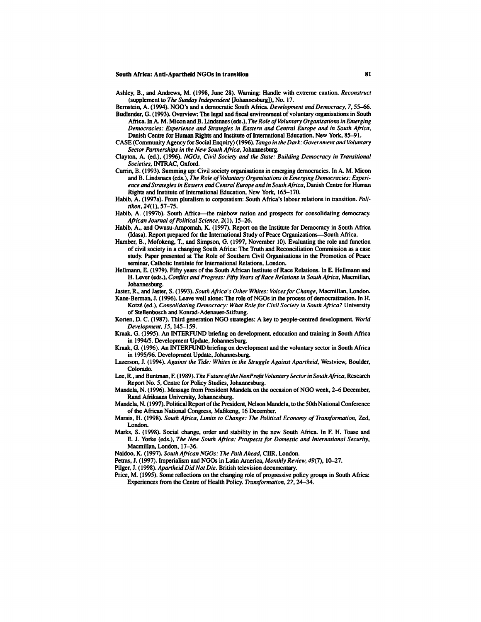#### **South Africa: Anti-Apartheid NGOs in transition 81**

- Ashley, B., and Andrews, M. (1998, June 28). Warning: Handle with extreme caution. *Reconstruct* (supplement to *The Sunday Independent* [Johannesburg]), No. 17.
- Bernstein, A. (1994). NGO's and a democratic South Africa. *Development and Democracy, 7,*55–66. Budlender, G. (1993). Overview: The legal and fiscal environment of voluntary organisations in South
- Africa. In A. M. Micon and B. Lindsnaes (eds.), *The Role of Voluntary Organisations in Emerging Democracies: Experience and Strategies in Eastern and Central Europe and in South Africa,* Danish Centre for Human Rights and Institute of International Education, New York, 85–91.
- CASE (Community Agency for Social Enquiry) (1996). *Tango in the Dark: Government and Voluntary Sector Partnerships in the New South Africa,* Johannesburg.
- Clayton, A. (ed.), (1996). *NGOs, Civil Society and the State: Building Democracy in Transitional Societies,* INTRAC, Oxford.
- Currin, B. (1993). Summing up: Civil society organisations in emerging democracies. In A. M. Micon and B. Lindsnaes (eds.), *The Role of Voluntary Organisations in Emerging Democracies: Experience and Strategies in Eastern and Central Europe and in South Africa,* Danish Centre for Human Rights and Institute of International Education, New York, 165–170.
- Habib, A. (1997a). From pluralism to corporatism: South Africa's labour relations in transition. *Politikon, 24(1),* 57–75.
- Habib, A. (1997b). South Africa—the rainbow nation and prospects for consolidating democracy. *African Journal of Political Science,* 2(1), 15-26.
- Habib, A., and Owusu-Ampomah, K. (1997). Report on the Institute for Democracy in South Africa (Idasa). Report prepared for the International Study of Peace Organizations—South Africa.
- Hamber, B., Mofokeng, T., and Simpson, G. (1997, November 10). Evaluating the role and function of civil society in a changing South Africa: The Truth and Reconciliation Commission as a case study. Paper presented at The Role of Southern Civil Organisations in the Promotion of Peace seminar, Catholic Institute for International Relations, London.
- Hellmann, E. (1979). Fifty years of the South African Institute of Race Relations. In E. Hellmann and H. Lever (eds.), *Conflict and Progress: Fifty Years of Race Relations in South Africa,* Macmillan, Johannesburg.

Jaster, R., and Jaster, S. (1993). *South Africa's Other Whites: Voices for Change,* Macmillan, London.

- Kane-Berman, J. (1996). Leave well alone: The role of NGOs in the process of democratization. In H. Kotze' (ed.), *Consolidating Democracy: What Role for Civil Society in South Africa?* University of Stellenbosch and Konrad-Adenauer-Stiftung.
- Korten, D. C. (1987). Third generation NGO strategies: A key to people-centred development *World Development, 15,1*45–159.
- Kraak, G. (1995). An INTERFUND briefing on development, education and training in South Africa in 1994/5. Development Update, Johannesburg.
- Kraak, G. (1996). An INTERFUND briefing on development and the voluntary sector in South Africa in 1995/96. Development Update, Johannesburg.
- Lazerson, J. (1994). *Against the Tide: Whites in the Struggle Against Apartheid,* Westview, Boulder, Colorado.
- Lee, R., and Buntman, F. (1989). *The Future of the NonProfit Voluntary Sector in South Africa,* Research Report No. 5, Centre for Policy Studies, Johannesburg.
- Mandela, N. (1996). Message from President Mandela on the occasion of NGO week, 2–6 December, Rand Afrikaans University, Johannesburg.
- Mandela, N. (1997). Political Report of the President, Nelson Mandela, to the 50th National Conference of the African National Congress, Mafikeng, 16 December.
- Marais, H. (1998). *South Africa, Limits to Change: The Political Economy of Transformation,* Zed, London.
- Marks, S. (1998). Social change, order and stability in the new South Africa. In F. H. Toase and E. J. Yorke (eds.), *The New South Africa: Prospects for Domestic and International Security,* Macmillan, London, 17–36.
- Naidoo, K. (1997). *South African NGOs: The Path Ahead, CIIR,* London.

Petras, J. (1997). Imperialism and NGOs in Latin America, *Monthly Review, 49(7),* 10–27.

Pilger, J. (1998). *Apartheid Did Not Die.* British television documentary.

Price, M. (1995). Some reflections on the changing role of progressive policy groups in South Africa: Experiences from the Centre of Health Policy. *Transformation, 27,* 24–34.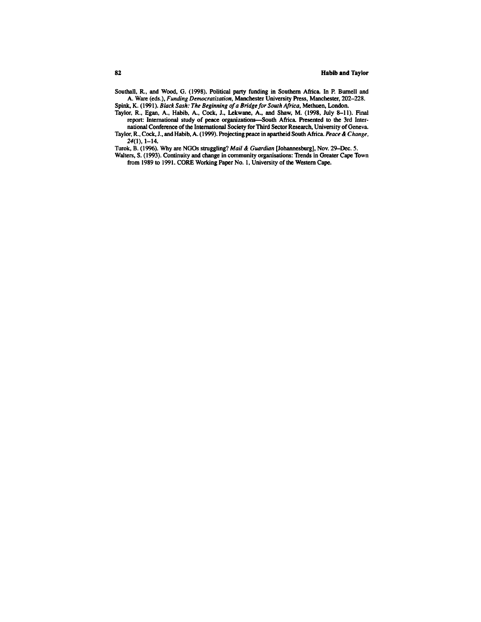Southall, R., and Wood, G. (1998). Political party funding in Southern Africa. In P. Burnell and A. Ware (eds.), *Funding Democratization,* Manchester University Press, Manchester, 202-228. Spink, K. (1991). *Black Sash: The Beginning of a Bridge for South Africa,* Methuen, London.

Taylor, R., Egan, A., Habib, A., Cock, J., Lekwane, A., and Shaw, M. (1998, July 8–11). Final report: International study of peace organizations—South Africa. Presented to the 3rd International Conference of the International Society for Third Sector Research, University of Geneva.

Taylor, R., Cock, J., and Habib, A. (1999). Projecting peace in apartheid South Africa. *Peace A Change,*  $24(1)$ , 1-14.

Turok, B. (1996). Why are NGOs struggling? *Mail & Guardian* [Johannesburg], Nov. 29–Dec. 5.

Walters, S. (1993). Continuity and change in community organisations: Trends in Greater Cape Town from 1989 to 1991. CORE Working Paper No. 1, University of the Western Cape.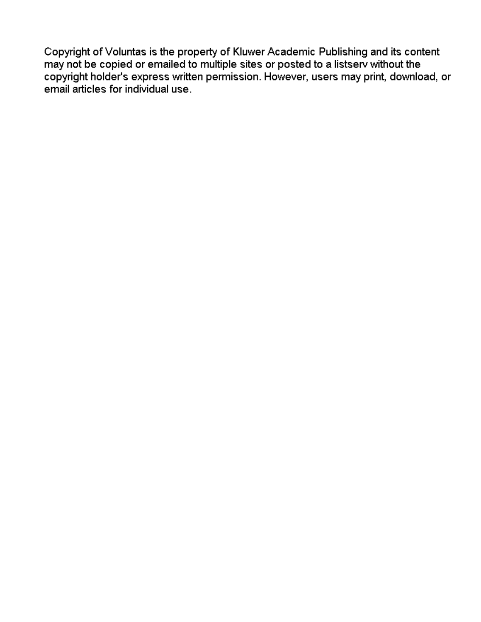Copyright of Voluntas is the property of Kluwer Academic Publishing and its content may not be copied or emailed to multiple sites or posted to a listserv without the copyright holder's express written permission. However, users may print, download, or email articles for individual use.